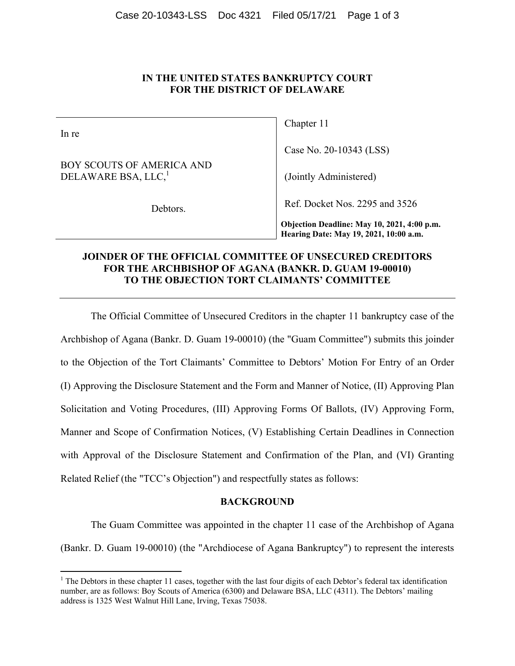# **IN THE UNITED STATES BANKRUPTCY COURT FOR THE DISTRICT OF DELAWARE**

In re

BOY SCOUTS OF AMERICA AND DELAWARE BSA, LLC,<sup>1</sup>

Debtors.

Chapter 11

Case No. 20-10343 (LSS)

(Jointly Administered)

Ref. Docket Nos. 2295 and 3526

**Objection Deadline: May 10, 2021, 4:00 p.m. Hearing Date: May 19, 2021, 10:00 a.m.**

# **JOINDER OF THE OFFICIAL COMMITTEE OF UNSECURED CREDITORS FOR THE ARCHBISHOP OF AGANA (BANKR. D. GUAM 19-00010) TO THE OBJECTION TORT CLAIMANTS' COMMITTEE**

 The Official Committee of Unsecured Creditors in the chapter 11 bankruptcy case of the Archbishop of Agana (Bankr. D. Guam 19-00010) (the "Guam Committee") submits this joinder to the Objection of the Tort Claimants' Committee to Debtors' Motion For Entry of an Order (I) Approving the Disclosure Statement and the Form and Manner of Notice, (II) Approving Plan Solicitation and Voting Procedures, (III) Approving Forms Of Ballots, (IV) Approving Form, Manner and Scope of Confirmation Notices, (V) Establishing Certain Deadlines in Connection with Approval of the Disclosure Statement and Confirmation of the Plan, and (VI) Granting Related Relief (the "TCC's Objection") and respectfully states as follows:

### **BACKGROUND**

The Guam Committee was appointed in the chapter 11 case of the Archbishop of Agana (Bankr. D. Guam 19-00010) (the "Archdiocese of Agana Bankruptcy") to represent the interests

 $1$  The Debtors in these chapter 11 cases, together with the last four digits of each Debtor's federal tax identification number, are as follows: Boy Scouts of America (6300) and Delaware BSA, LLC (4311). The Debtors' mailing address is 1325 West Walnut Hill Lane, Irving, Texas 75038.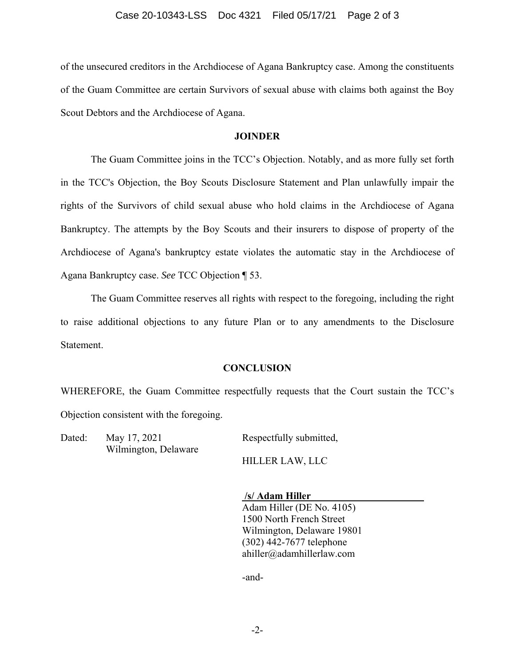#### Case 20-10343-LSS Doc 4321 Filed 05/17/21 Page 2 of 3

of the unsecured creditors in the Archdiocese of Agana Bankruptcy case. Among the constituents of the Guam Committee are certain Survivors of sexual abuse with claims both against the Boy Scout Debtors and the Archdiocese of Agana.

### **JOINDER**

The Guam Committee joins in the TCC's Objection. Notably, and as more fully set forth in the TCC's Objection, the Boy Scouts Disclosure Statement and Plan unlawfully impair the rights of the Survivors of child sexual abuse who hold claims in the Archdiocese of Agana Bankruptcy. The attempts by the Boy Scouts and their insurers to dispose of property of the Archdiocese of Agana's bankruptcy estate violates the automatic stay in the Archdiocese of Agana Bankruptcy case. *See* TCC Objection ¶ 53.

The Guam Committee reserves all rights with respect to the foregoing, including the right to raise additional objections to any future Plan or to any amendments to the Disclosure Statement.

### **CONCLUSION**

WHEREFORE, the Guam Committee respectfully requests that the Court sustain the TCC's Objection consistent with the foregoing.

Dated: May 17, 2021 Respectfully submitted, Wilmington, Delaware

HILLER LAW, LLC

 **/s/ Adam Hiller**  Adam Hiller (DE No. 4105) 1500 North French Street Wilmington, Delaware 19801 (302) 442-7677 telephone ahiller@adamhillerlaw.com

-and-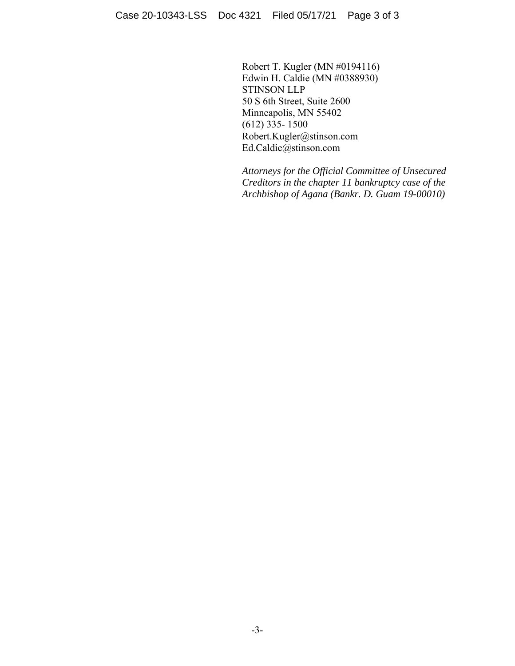Robert T. Kugler (MN #0194116) Edwin H. Caldie (MN #0388930) STINSON LLP 50 S 6th Street, Suite 2600 Minneapolis, MN 55402  $(612)$  335- 1500 Robert.Kugler@stinson.com Ed.Caldie@stinson.com

*Attorneys for the Official Committee of Unsecured Creditors in the chapter 11 bankruptcy case of the Archbishop of Agana (Bankr. D. Guam 19-00010)*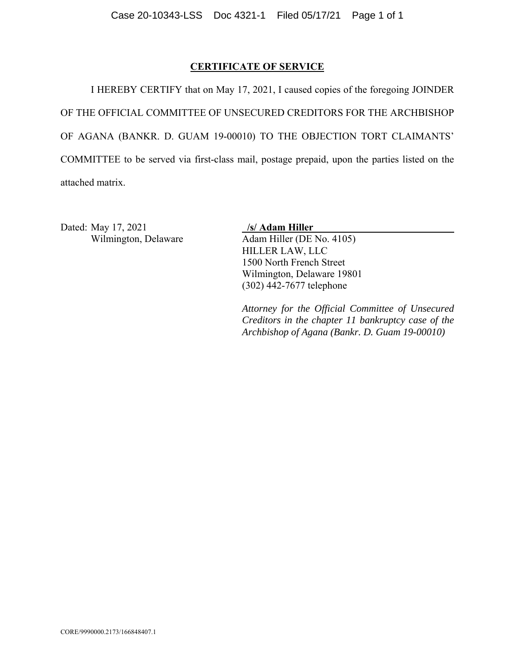# **CERTIFICATE OF SERVICE**

 I HEREBY CERTIFY that on May 17, 2021, I caused copies of the foregoing JOINDER OF THE OFFICIAL COMMITTEE OF UNSECURED CREDITORS FOR THE ARCHBISHOP OF AGANA (BANKR. D. GUAM 19-00010) TO THE OBJECTION TORT CLAIMANTS' COMMITTEE to be served via first-class mail, postage prepaid, upon the parties listed on the attached matrix.

Dated: May 17, 2021 **/s/ Adam Hiller** 

Wilmington, Delaware Adam Hiller (DE No. 4105) HILLER LAW, LLC 1500 North French Street Wilmington, Delaware 19801 (302) 442-7677 telephone

> *Attorney for the Official Committee of Unsecured Creditors in the chapter 11 bankruptcy case of the Archbishop of Agana (Bankr. D. Guam 19-00010)*